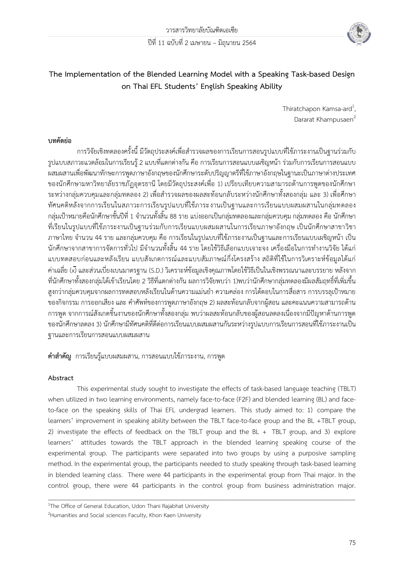

# **The Implementation of the Blended Learning Model with a Speaking Task-based Design on Thai EFL Students' English Speaking Ability**

Thiratchapon Kamsa-ard<sup>1</sup>, , Dararat Khampusaen<sup>2</sup>

## **บทคัดย่อ**

การวิจัยเชิงทดลองครั้งนี้ มีวัตถุประสงค์เพื่อสำรวจผลของการเรียนการสอนรูปแบบที่ใช้ภาระงานเป็นฐานร่วมกับ รูปแบบสภาวะแวดล้อมในการเรียนรู้2 แบบที่แตกต่างกัน คือ การเรียนการสอนแบบเผชิญหน้า ร่วมกับการเรียนการสอนแบบ ผสมผสานเพื่อพัฒนาทักษะการพูดภาษาอังกฤษของนักศึกษาระดับปริญญาตรีที่ใช้ภาษาอังกฤษในฐานะเป็นภาษาต่างประเทศ ของนักศึกษามหาวิทยาลัยราชภัฏอุดรธานี โดยมีวัตถุประสงค์เพื่อ 1) เปรียบเทียบความสามารถด้านการพูดของนักศึกษา ้ระหว่างกลุ่มควบคุมและกลุ่มทดลอง 2) เพื่อสำรวจผลของผลสะท้อนกลับระหว่างนักศึกษาทั้งสองกลุ่ม และ 3) เพื่อศึกษา ทัศนคติหลังจากการเรียนในสภาวะการเรียนรูปแบบที่ใช้ภาระงานเป็นฐานและการเรียนแบบผสมผสานในกลุ่มทดลอง ึกลุ่มเป้าหมายคือนักศึกษาชั้นปีที่ 1 จำนวนทั้งสิ้น 88 ราย แบ่งออกเป็นกลุ่มทดลองและกลุ่มควบคุม กลุ่มทดลอง คือ นักศึกษา ที่เรียนในรูปแบบที่ใช้ภาระงานเป็นฐานร่วมกับการเรียนแบบผสมผสานในการเรียนภาษาอังกฤษ เป็นนักศึกษาสาขาวิชา ภาษาไทย จ านวน 44 ราย และกลุ่มควบคุม คือ การเรียนในรูปแบบที่ใช้ภาระงานเป็นฐานและการเรียนแบบเผชิญหน้า เป็น นักศึกษาจากสาขาการจัดการทั่วไป มีจำนวนทั้งสิ้น 44 ราย โดยใช้วิธีเลือกแบบเจาะจง เครื่องมือในการทำงานวิจัย ได้แก่ แบบทดสอบก่อนและหลังเรียน แบบสังเกตการณ์และแบบสัมภาษณ์กึ่งโครงสร้าง สถิติที่ใช้ในการวิเคราะห์ข้อมูลได้แก่ ค่าเฉลี่ย (x̄) และส่วนเบี่ยงเบนมาตรฐาน (S.D.) วิเคราะห์ข้อมูลเชิงคุณภาพโดยใช้วิธีเป็นในเชิงพรรณนาและบรรยาย หลังจาก ที่นักศึกษาทั้งสองกลุ่มได้เข้าเรียนโดย 2 วิธีที่แตกต่างกัน ผลการวิจัยพบว่า 1)พบว่านักศึกษากลุ่มทดลองมีผลสัมฤทธิ์ที่เพิ่มขึ้น ่ สูงกว่ากลุ่มควบคุมจากผลการทดสอบหลังเรียนในด้านความแม่นยำ ความคล่อง การโต้ตอบในการสื่อสาร การบรรลุเป้าหมาย ของกิจกรรม การออกเสียง และ คำศัพท์ของการพูดภาษาอังกฤษ 2) ผลสะท้อนกลับจากผู้สอน และคะแนนความสามารถด้าน การพูด จากการณ์สังเกตชิ้นงานของนักศึกษาทั้งสองกลุ่ม พบว่าผลสะท้อนกลับของผู้สอนลดลงเนื่องจากมีปัญหาด้านการพูด ของนักศึกษาลดลง 3) นักศึกษามีทัศนคติที่ดีต่อการเรียนแบบผสมผสานกันระหว่างรูปแบบการเรียนการสอนที่ใช้ภาระงานเป็น ฐานและการเรียนการสอนแบบผสมผสาน

**ค ำส ำคัญ** การเรียนรู้แบบผสมผสาน, การสอนแบบใช้ภาระงาน, การพูด

## **Abstract**

This experimental study sought to investigate the effects of task-based language teaching (TBLT) when utilized in two learning environments, namely face-to-face (F2F) and blended learning (BL) and faceto-face on the speaking skills of Thai EFL undergrad learners. This study aimed to: 1) compare the learners' improvement in speaking ability between the TBLT face-to-face group and the BL +TBLT group, 2) investigate the effects of feedback on the TBLT group and the BL + TBLT group, and 3) explore learners' attitudes towards the TBLT approach in the blended learning speaking course of the experimental group. The participants were separated into two groups by using a purposive sampling method. In the experimental group, the participants needed to study speaking through task-based learning in blended learning class. There were 44 participants in the experimental group from Thai major. In the control group, there were 44 participants in the control group from business administration major.

 $\overline{\phantom{a}}$  , and the contribution of the contribution of the contribution of the contribution of the contribution of the contribution of the contribution of the contribution of the contribution of the contribution of the

<sup>&</sup>lt;sup>1</sup>The Office of General Education, Udon Thani Rajabhat University

<sup>&</sup>lt;sup>2</sup>Humanities and Social sciences Faculty, Khon Kaen University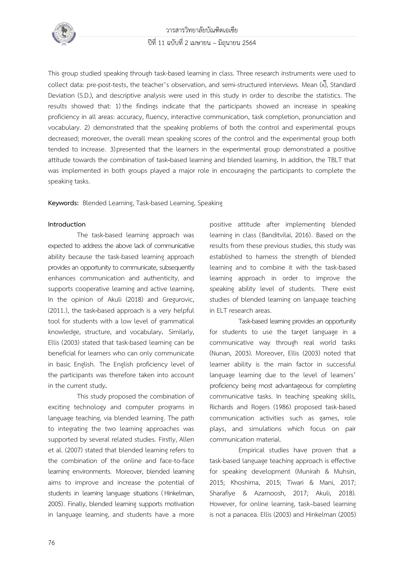

# วารสารวิทยาลัยบัณฑิตเอเซีย ปีที่ 11 ฉบับที่ 2 เมษายน – มิถุนายน 2564

This group studied speaking through task-based learning in class. Three research instruments were used to collect data: pre-post-tests, the teacher's observation, and semi-structured interviews. Mean  $(\overline{x})$ , Standard Deviation (S.D.), and descriptive analysis were used in this study in order to describe the statistics. The results showed that: 1) the findings indicate that the participants showed an increase in speaking proficiency in all areas: accuracy, fluency, interactive communication, task completion, pronunciation and vocabulary. 2) demonstrated that the speaking problems of both the control and experimental groups decreased; moreover, the overall mean speaking scores of the control and the experimental group both tended to increase. 3) presented that the learners in the experimental group demonstrated a positive attitude towards the combination of task**-**based learning and blended learning**.** In addition, the TBLT that was implemented in both groups played a major role in encouraging the participants to complete the speaking tasks.

**Keywords:** Blended Learning, Task-based Learning, Speaking

### **Introduction**

The task-based learning approach was expected to address the above lack of communicative ability because the task-based learning approach provides an opportunity to communicate, subsequently enhances communication and authenticity, and supports cooperative learning and active learning**.**  In the opinion of Akuli (2018) and Gregurovic, (2011.), the task**-**based approach is a very helpful tool for students with a low level of grammatical knowledge, structure, and vocabulary**.** Similarly, Ellis (2003) stated that task-based learning can be beneficial for learners who can only communicate in basic English. The English proficiency level of the participants was therefore taken into account in the current study**.**

This study proposed the combination of exciting technology and computer programs in language teaching, via blended learning. The path to integrating the two learning approaches was supported by several related studies. Firstly, Allen et al. (2007) stated that blended learning refers to the combination of the online and face-to-face learning environments. Moreover, blended learning aims to improve and increase the potential of students in learning language situations ( Hinkelman, 2005). Finally, blended learning supports motivation in language learning, and students have a more

positive attitude after implementing blended learning in class (Banditvilai, 2016). Based on the results from these previous studies, this study was established to harness the strength of blended learning and to combine it with the task-based learning approach in order to improve the speaking ability level of students. There exist studies of blended learning on language teaching in ELT research areas.

Task-based learning provides an opportunity for students to use the target language in a communicative way through real world tasks (Nunan, 2003). Moreover, Ellis (2003) noted that learner ability is the main factor in successful language learning due to the level of learners' proficiency being most advantageous for completing communicative tasks. In teaching speaking skills, Richards and Rogers (1986) proposed task-based communication activities such as games, role plays, and simulations which focus on pair communication material.

Empirical studies have proven that a task-based language teaching approach is effective for speaking development (Munirah & Muhsin, 2015; Khoshima, 2015; Tiwari & Mani, 2017; Sharafiye & Azarnoosh, 2017; Akuli, 2018). However, for online learning, task–based learning is not a panacea. Ellis (2003) and Hinkelman (2005)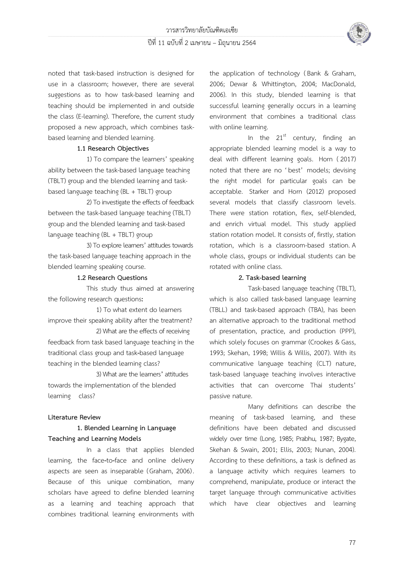

noted that task-based instruction is designed for use in a classroom; however, there are several suggestions as to how task-based learning and teaching should be implemented in and outside the class (E-learning). Therefore, the current study proposed a new approach, which combines taskbased learning and blended learning.

### **1.1 Research Objectives**

1) To compare the learners' speaking ability between the task-based language teaching (TBLT) group and the blended learning and taskbased language teaching (BL + TBLT) group

2) To investigate the effects of feedback between the task-based language teaching (TBLT) group and the blended learning and task-based language teaching (BL + TBLT) group

3) To explore learners' attitudes towards the task-based language teaching approach in the blended learning speaking course.

### **1.2 Research Questions**

This study thus aimed at answering the following research questions**:** 

1) To what extent do learners improve their speaking ability after the treatment?

2) What are the effects of receiving feedback from task based language teaching in the traditional class group and task**-**based language teaching in the blended learning class?

3) What are the learners**'** attitudes towards the implementation of the blended learning class?

### **Literature Review**

## **1. Blended Learning in Language Teaching and Learning Models**

In a class that applies blended learning, the face**-**to**-**face and online delivery aspects are seen as inseparable (Graham, 2006). Because of this unique combination, many scholars have agreed to define blended learning as a learning and teaching approach that combines traditional learning environments with

the application of technology (Bank & Graham, 2006; Dewar & Whittington, 2004; MacDonald, 2006). In this study, blended learning is that successful learning generally occurs in a learning environment that combines a traditional class with online learning.

In the  $21^{st}$  century, finding an appropriate blended learning model is a way to deal with different learning goals. Horn ( 2017) noted that there are no ' best' models; devising the right model for particular goals can be acceptable. Starker and Horn (2012) proposed several models that classify classroom levels. There were station rotation, flex, self-blended, and enrich virtual model. This study applied station rotation model. It consists of, firstly, station rotation, which is a classroom-based station. A whole class, groups or individual students can be rotated with online class.

### **2. Task-based learning**

Task-based language teaching (TBLT), which is also called task-based language learning (TBLL) and task-based approach (TBA), has been an alternative approach to the traditional method of presentation, practice, and production (PPP), which solely focuses on grammar (Crookes & Gass, 1993; Skehan, 1998; Willis & Willis, 2007). With its communicative language teaching (CLT) nature, task-based language teaching involves interactive activities that can overcome Thai students' passive nature.

Many definitions can describe the meaning of task-based learning, and these definitions have been debated and discussed widely over time (Long, 1985; Prabhu, 1987; Bygate, Skehan & Swain, 2001; Ellis, 2003; Nunan, 2004). According to these definitions, a task is defined as a language activity which requires learners to comprehend, manipulate, produce or interact the target language through communicative activities which have clear objectives and learning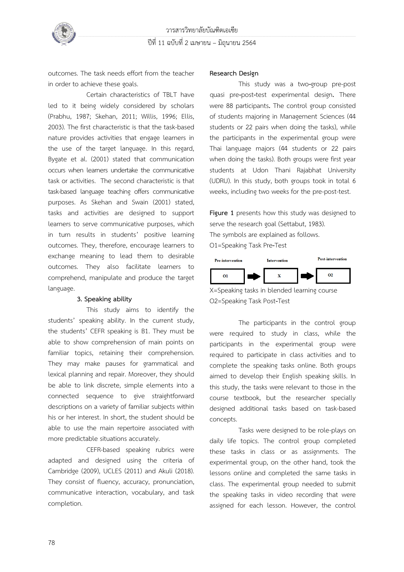

outcomes. The task needs effort from the teacher in order to achieve these goals.

Certain characteristics of TBLT have led to it being widely considered by scholars (Prabhu, 1987; Skehan, 2011; Willis, 1996; Ellis, 2003). The first characteristic is that the task-based nature provides activities that engage learners in the use of the target language. In this regard, Bygate et al. (2001) stated that communication occurs when learners undertake the communicative task or activities. The second characteristic is that task-based language teaching offers communicative purposes. As Skehan and Swain (2001) stated, tasks and activities are designed to support learners to serve communicative purposes, which in turn results in students' positive learning outcomes. They, therefore, encourage learners to exchange meaning to lead them to desirable outcomes. They also facilitate learners to comprehend, manipulate and produce the target language.

#### **3. Speaking ability**

This study aims to identify the students' speaking ability. In the current study, the students' CEFR speaking is B1. They must be able to show comprehension of main points on familiar topics, retaining their comprehension. They may make pauses for grammatical and lexical planning and repair. Moreover, they should be able to link discrete, simple elements into a connected sequence to give straightforward descriptions on a variety of familiar subjects within his or her interest. In short, the student should be able to use the main repertoire associated with more predictable situations accurately.

CEFR-based speaking rubrics were adapted and designed using the criteria of Cambridge (2009), UCLES (2011) and Akuli (2018). They consist of fluency, accuracy, pronunciation, communicative interaction, vocabulary, and task completion.

#### **Research Design**

This study was a two**-**group pre-post quasi pre**-**post**-**test experimental design**.** There were 88 participants**.** The control group consisted of students majoring in Management Sciences (44 students or 22 pairs when doing the tasks), while the participants in the experimental group were Thai language majors (44 students or 22 pairs when doing the tasks). Both groups were first year students at Udon Thani Rajabhat University (UDRU). In this study, both groups took in total 6 weeks, including two weeks for the pre-post-test.

**Figure 1** presents how this study was designed to serve the research goal (Settabut, 1983). The symbols are explained as follows. O1=Speaking Task Pre**-**Test



X=Speaking tasks in blended learning course O2=Speaking Task Post**-**Test

The participants in the control group were required to study in class, while the participants in the experimental group were required to participate in class activities and to complete the speaking tasks online. Both groups aimed to develop their English speaking skills. In this study, the tasks were relevant to those in the course textbook, but the researcher specially designed additional tasks based on task-based concepts.

Tasks were designed to be role-plays on daily life topics. The control group completed these tasks in class or as assignments. The experimental group, on the other hand, took the lessons online and completed the same tasks in class. The experimental group needed to submit the speaking tasks in video recording that were assigned for each lesson. However, the control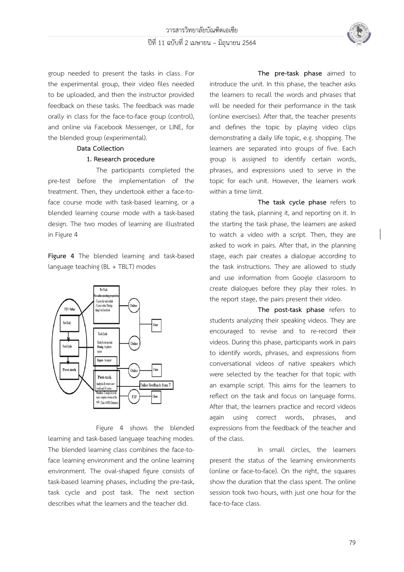

group needed to present the tasks in class. For the experimental group, their video files needed to be uploaded, and then the instructor provided feedback on these tasks. The feedback was made orally in class for the face-to-face group (control), and online via Facebook Messenger, or LINE, for the blended group (experimental).

#### **Data Collection**

### **1. Research procedure**

The participants completed the pre-test before the implementation of the treatment. Then, they undertook either a face-toface course mode with task-based learning, or a blended learning course mode with a task-based design. The two modes of learning are illustrated in Figure 4

**Figure 4** The blended learning and task-based language teaching (BL + TBLT) modes



Figure 4 shows the blended learning and task-based language teaching modes. The blended learning class combines the face-toface learning environment and the online learning environment. The oval-shaped figure consists of task-based learning phases, including the pre-task, task cycle and post task. The next section describes what the learners and the teacher did.

**The pre-task phase** aimed to introduce the unit. In this phase, the teacher asks the learners to recall the words and phrases that will be needed for their performance in the task (online exercises). After that, the teacher presents and defines the topic by playing video clips demonstrating a daily life topic, e.g. shopping. The learners are separated into groups of five. Each group is assigned to identify certain words, phrases, and expressions used to serve in the topic for each unit. However, the learners work within a time limit.

**The task cycle phase** refers to stating the task, planning it, and reporting on it. In the starting the task phase, the learners are asked to watch a video with a script. Then, they are asked to work in pairs. After that, in the planning stage, each pair creates a dialogue according to the task instructions. They are allowed to study and use information from Google classroom to create dialogues before they play their roles. In the report stage, the pairs present their video.

**The post-task phase** refers to students analyzing their speaking videos. They are encouraged to revise and to re-record their videos. During this phase, participants work in pairs to identify words, phrases, and expressions from conversational videos of native speakers which were selected by the teacher for that topic with an example script. This aims for the learners to reflect on the task and focus on language forms. After that, the learners practice and record videos again using correct words, phrases, and expressions from the feedback of the teacher and of the class.

In small circles, the learners present the status of the learning environments (online or face-to-face). On the right, the squares show the duration that the class spent. The online session took two hours, with just one hour for the face-to-face class.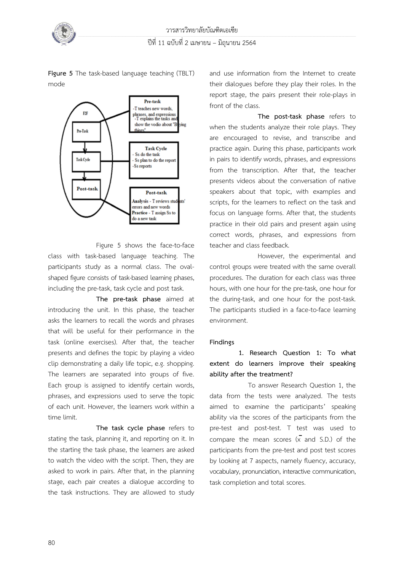



**Figure 5** The task-based language teaching (TBLT) mode

Figure 5 shows the face-to-face class with task-based language teaching. The participants study as a normal class. The ovalshaped figure consists of task-based learning phases, including the pre-task, task cycle and post task.

**The pre-task phase** aimed at introducing the unit. In this phase, the teacher asks the learners to recall the words and phrases that will be useful for their performance in the task (online exercises). After that, the teacher presents and defines the topic by playing a video clip demonstrating a daily life topic, e.g. shopping. The learners are separated into groups of five. Each group is assigned to identify certain words, phrases, and expressions used to serve the topic of each unit. However, the learners work within a time limit.

**The task cycle phase** refers to stating the task, planning it, and reporting on it. In the starting the task phase, the learners are asked to watch the video with the script. Then, they are asked to work in pairs. After that, in the planning stage, each pair creates a dialogue according to the task instructions. They are allowed to study

and use information from the Internet to create their dialogues before they play their roles. In the report stage, the pairs present their role-plays in front of the class.

**The post-task phase** refers to when the students analyze their role plays. They are encouraged to revise, and transcribe and practice again. During this phase, participants work in pairs to identify words, phrases, and expressions from the transcription. After that, the teacher presents videos about the conversation of native speakers about that topic, with examples and scripts, for the learners to reflect on the task and focus on language forms. After that, the students practice in their old pairs and present again using correct words, phrases, and expressions from teacher and class feedback.

However, the experimental and control groups were treated with the same overall procedures. The duration for each class was three hours, with one hour for the pre-task, one hour for the during-task, and one hour for the post-task. The participants studied in a face-to-face learning environment.

### **Findings**

# **1. Research Question 1: To what extent do learners improve their speaking ability after the treatment?**

To answer Research Question 1, the data from the tests were analyzed. The tests aimed to examine the participants' speaking ability via the scores of the participants from the pre-test and post-test. T test was used to compare the mean scores  $(\overline{x})$  and S.D.) of the participants from the pre-test and post test scores by looking at 7 aspects, namely fluency, accuracy, vocabulary, pronunciation, interactive communication, task completion and total scores.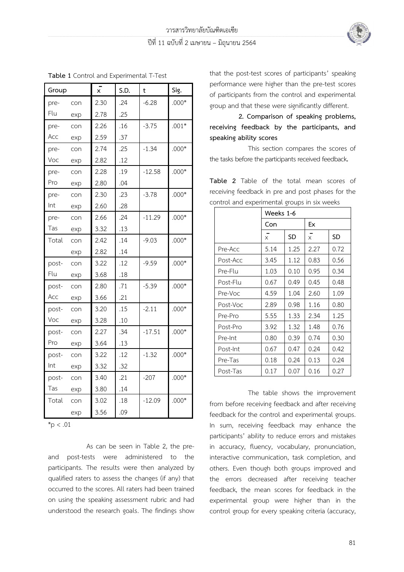

| Table 1 Control and Experimental T-Test |     |                |      |             |         |  |  |  |
|-----------------------------------------|-----|----------------|------|-------------|---------|--|--|--|
| Group                                   |     | $\overline{x}$ | S.D. | $\mathbf t$ | Sig.    |  |  |  |
| pre-                                    | con | 2.30           | .24  | $-6.28$     | $.000*$ |  |  |  |
| Flu                                     | exp | 2.78           | .25  |             |         |  |  |  |
| pre-                                    | con | 2.26           | .16  | $-3.75$     | $.001*$ |  |  |  |
| Acc                                     | exp | 2.59           | .37  |             |         |  |  |  |
| pre-                                    | con | 2.74           | .25  | $-1.34$     | $.000*$ |  |  |  |
| Voc                                     | exp | 2.82           | .12  |             |         |  |  |  |
| pre-                                    | con | 2.28           | .19  | $-12.58$    | $.000*$ |  |  |  |
| Pro                                     | exp | 2.80           | .04  |             |         |  |  |  |
| pre-                                    | con | 2.30           | .23  | $-3.78$     | $.000*$ |  |  |  |
| Int                                     | exp | 2.60           | .28  |             |         |  |  |  |
| pre-                                    | con | 2.66           | .24  | $-11.29$    | $.000*$ |  |  |  |
| Tas                                     | exp | 3.32           | .13  |             |         |  |  |  |
| Total                                   | con | 2.42           | .14  | $-9.03$     | $.000*$ |  |  |  |
|                                         | exp | 2.82           | .14  |             |         |  |  |  |
| post-                                   | con | 3.22           | .12  | $-9.59$     | $.000*$ |  |  |  |
| Flu                                     | exp | 3.68           | .18  |             |         |  |  |  |
| post-                                   | con | 2.80           | .71  | $-5.39$     | $.000*$ |  |  |  |
| Acc                                     | exp | 3.66           | .21  |             |         |  |  |  |
| post-                                   | con | 3.20           | .15  | $-2.11$     | $.000*$ |  |  |  |
| Voc                                     | exp | 3.28           | .10  |             |         |  |  |  |
| post-                                   | con | 2.27           | .34  | $-17.51$    | $.000*$ |  |  |  |
| Pro                                     | exp | 3.64           | .13  |             |         |  |  |  |
| post-                                   | con | 3.22           | .12  | $-1.32$     | $.000*$ |  |  |  |
| Int                                     | exp | 3.32           | .32  |             |         |  |  |  |
| post-                                   | con | 3.40           | .21  | $-207$      | $.000*$ |  |  |  |
| Tas                                     | exp | 3.80           | .14  |             |         |  |  |  |
| Total                                   | con | 3.02           | .18  | $-12.09$    | $.000*$ |  |  |  |
|                                         | exp | 3.56           | .09  |             |         |  |  |  |

**Table 1** Control and Experimental T-Test

 $*_{p}$  < .01

As can be seen in Table 2, the preand post-tests were administered to the participants. The results were then analyzed by qualified raters to assess the changes (if any) that occurred to the scores. All raters had been trained on using the speaking assessment rubric and had understood the research goals. The findings show that the post-test scores of participants' speaking performance were higher than the pre-test scores of participants from the control and experimental group and that these were significantly different.

**2. Comparison of speaking problems, receiving feedback by the participants, and speaking ability scores**

This section compares the scores of the tasks before the participants received feedback**.**

**Table 2** Table of the total mean scores of receiving feedback in pre and post phases for the control and experimental groups in six weeks

|          | Weeks 1-6 |      |                |      |  |
|----------|-----------|------|----------------|------|--|
|          | Con       |      | Ex             |      |  |
|          | $\times$  | SD   | $\overline{x}$ | SD   |  |
| Pre-Acc  | 5.14      | 1.25 | 2.27           | 0.72 |  |
| Post-Acc | 3.45      | 1.12 | 0.83           | 0.56 |  |
| Pre-Flu  | 1.03      | 0.10 | 0.95           | 0.34 |  |
| Post-Flu | 0.67      | 0.49 | 0.45           | 0.48 |  |
| Pre-Voc  | 4.59      | 1.04 | 2.60           | 1.09 |  |
| Post-Voc | 2.89      | 0.98 | 1.16           | 0.80 |  |
| Pre-Pro  | 5.55      | 1.33 | 2.34           | 1.25 |  |
| Post-Pro | 3.92      | 1.32 | 1.48           | 0.76 |  |
| Pre-Int  | 0.80      | 0.39 | 0.74           | 0.30 |  |
| Post-Int | 0.67      | 0.47 | 0.24           | 0.42 |  |
| Pre-Tas  | 0.18      | 0.24 | 0.13           | 0.24 |  |
| Post-Tas | 0.17      | 0.07 | 0.16           | 0.27 |  |

The table shows the improvement from before receiving feedback and after receiving feedback for the control and experimental groups. In sum, receiving feedback may enhance the participants' ability to reduce errors and mistakes in accuracy, fluency, vocabulary, pronunciation, interactive communication, task completion, and others. Even though both groups improved and the errors decreased after receiving teacher feedback, the mean scores for feedback in the experimental group were higher than in the control group for every speaking criteria (accuracy,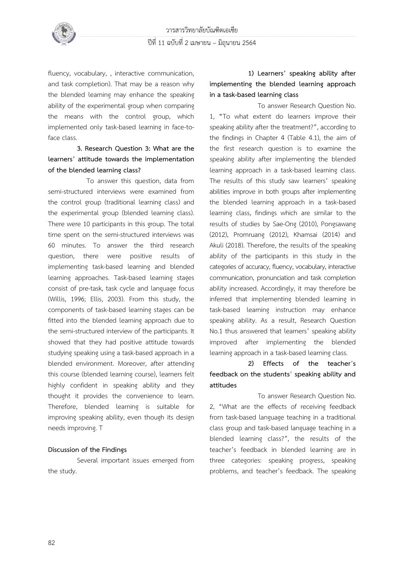

fluency, vocabulary, , interactive communication, and task completion). That may be a reason why the blended learning may enhance the speaking ability of the experimental group when comparing the means with the control group, which implemented only task-based learning in face-toface class.

# **3. Research Question 3: What are the learners' attitude towards the implementation of the blended learning class?**

To answer this question, data from semi-structured interviews were examined from the control group (traditional learning class) and the experimental group (blended learning class). There were 10 participants in this group. The total time spent on the semi-structured interviews was 60 minutes. To answer the third research question, there were positive results of implementing task-based learning and blended learning approaches. Task-based learning stages consist of pre-task, task cycle and language focus (Willis, 1996; Ellis, 2003). From this study, the components of task-based learning stages can be fitted into the blended learning approach due to the semi-structured interview of the participants. It showed that they had positive attitude towards studying speaking using a task-based approach in a blended environment. Moreover, after attending this course (blended learning course), learners felt highly confident in speaking ability and they thought it provides the convenience to learn. Therefore, blended learning is suitable for improving speaking ability, even though its design needs improving. T

## **Discussion of the Findings**

Several important issues emerged from the study.

# **1) Learners' speaking ability after implementing the blended learning approach in a task-based learning class**

To answer Research Question No. 1, **"**To what extent do learners improve their speaking ability after the treatment?", according to the findings in Chapter 4 (Table 4.1), the aim of the first research question is to examine the speaking ability after implementing the blended learning approach in a task-based learning class. The results of this study saw learners' speaking abilities improve in both groups after implementing the blended learning approach in a task-based learning class, findings which are similar to the results of studies by Sae-Ong (2010), Pongsawang (2012), Promruang (2012), Khamsai (2014) and Akuli (2018). Therefore, the results of the speaking ability of the participants in this study in the categories of accuracy, fluency, vocabulary, interactive communication, pronunciation and task completion ability increased. Accordingly, it may therefore be inferred that implementing blended learning in task-based learning instruction may enhance speaking ability. As a result, Research Question No.1 thus answered that learners' speaking ability improved after implementing the blended learning approach in a task-based learning class.

# **2) Effects of the teacher**'**s feedback on the students**' **speaking ability and attitudes**

To answer Research Question No. 2, "What are the effects of receiving feedback from task-based language teaching in a traditional class group and task-based language teaching in a blended learning class?", the results of the teacher's feedback in blended learning are in three categories: speaking progress, speaking problems, and teacher's feedback. The speaking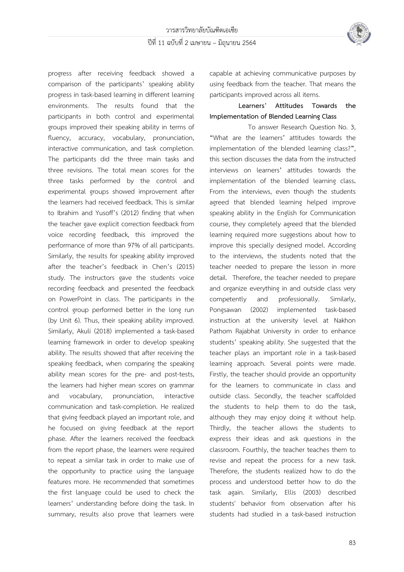

progress after receiving feedback showed a comparison of the participants' speaking ability progress in task-based learning in different learning environments. The results found that the participants in both control and experimental groups improved their speaking ability in terms of fluency, accuracy, vocabulary, pronunciation, interactive communication, and task completion. The participants did the three main tasks and three revisions. The total mean scores for the three tasks performed by the control and experimental groups showed improvement after the learners had received feedback. This is similar to Ibrahim and Yusoff's (2012) finding that when the teacher gave explicit correction feedback from voice recording feedback, this improved the performance of more than 97% of all participants. Similarly, the results for speaking ability improved after the teacher's feedback in Chen's (2015) study. The instructors gave the students voice recording feedback and presented the feedback on PowerPoint in class. The participants in the control group performed better in the long run (by Unit 6). Thus, their speaking ability improved. Similarly, Akuli (2018) implemented a task-based learning framework in order to develop speaking ability. The results showed that after receiving the speaking feedback, when comparing the speaking ability mean scores for the pre- and post-tests, the learners had higher mean scores on grammar and vocabulary, pronunciation, interactive communication and task-completion. He realized that giving feedback played an important role, and he focused on giving feedback at the report phase. After the learners received the feedback from the report phase, the learners were required to repeat a similar task in order to make use of the opportunity to practice using the language features more. He recommended that sometimes the first language could be used to check the learners' understanding before doing the task. In summary, results also prove that learners were

capable at achieving communicative purposes by using feedback from the teacher. That means the participants improved across all items.

## **Learners' Attitudes Towards the Implementation of Blended Learning Class**

To answer Research Question No. 3, **"**What are the learners**'** attitudes towards the implementation of the blended learning class?**"**, this section discusses the data from the instructed interviews on learners**'** attitudes towards the implementation of the blended learning class**.**  From the interviews, even though the students agreed that blended learning helped improve speaking ability in the English for Communication course, they completely agreed that the blended learning required more suggestions about how to improve this specially designed model. According to the interviews, the students noted that the teacher needed to prepare the lesson in more detail. Therefore, the teacher needed to prepare and organize everything in and outside class very competently and professionally. Similarly, Pongsawan (2002) implemented task-based instruction at the university level at Nakhon Pathom Rajabhat University in order to enhance students' speaking ability. She suggested that the teacher plays an important role in a task-based learning approach. Several points were made. Firstly, the teacher should provide an opportunity for the learners to communicate in class and outside class. Secondly, the teacher scaffolded the students to help them to do the task, although they may enjoy doing it without help. Thirdly, the teacher allows the students to express their ideas and ask questions in the classroom. Fourthly, the teacher teaches them to revise and repeat the process for a new task. Therefore, the students realized how to do the process and understood better how to do the task again. Similarly, Ellis (2003) described students' behavior from observation after his students had studied in a task-based instruction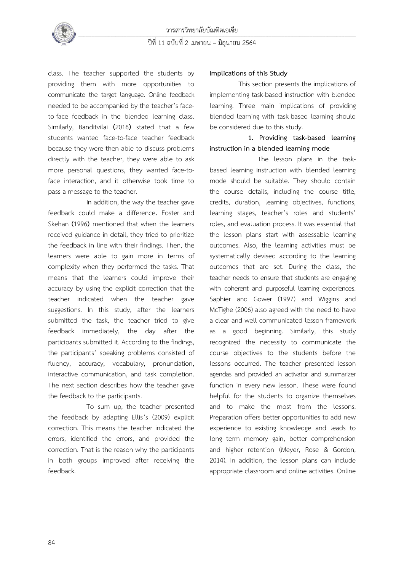

class. The teacher supported the students by providing them with more opportunities to communicate the target language. Online feedback needed to be accompanied by the teacher's faceto-face feedback in the blended learning class. Similarly, Banditvilai **(**2016**)** stated that a few students wanted face-to-face teacher feedback because they were then able to discuss problems directly with the teacher, they were able to ask more personal questions, they wanted face-toface interaction, and it otherwise took time to pass a message to the teacher.

In addition, the way the teacher gave feedback could make a difference**.** Foster and Skehan **(**1996**)** mentioned that when the learners received guidance in detail, they tried to prioritize the feedback in line with their findings. Then, the learners were able to gain more in terms of complexity when they performed the tasks. That means that the learners could improve their accuracy by using the explicit correction that the teacher indicated when the teacher gave suggestions. In this study, after the learners submitted the task, the teacher tried to give feedback immediately, the day after the participants submitted it. According to the findings, the participants' speaking problems consisted of fluency, accuracy, vocabulary, pronunciation, interactive communication, and task completion. The next section describes how the teacher gave the feedback to the participants.

To sum up, the teacher presented the feedback by adapting Ellis's (2009) explicit correction. This means the teacher indicated the errors, identified the errors, and provided the correction. That is the reason why the participants in both groups improved after receiving the feedback.

### **Implications of this Study**

This section presents the implications of implementing task-based instruction with blended learning. Three main implications of providing blended learning with task-based learning should be considered due to this study.

## **1. Providing task-based learning instruction in a blended learning mode**

The lesson plans in the taskbased learning instruction with blended learning mode should be suitable. They should contain the course details, including the course title, credits, duration, learning objectives, functions, learning stages, teacher's roles and students' roles, and evaluation process. It was essential that the lesson plans start with assessable learning outcomes. Also, the learning activities must be systematically devised according to the learning outcomes that are set. During the class, the teacher needs to ensure that students are engaging with coherent and purposeful learning experiences. Saphier and Gower (1997) and Wiggins and McTighe (2006) also agreed with the need to have a clear and well communicated lesson framework as a good beginning. Similarly, this study recognized the necessity to communicate the course objectives to the students before the lessons occurred. The teacher presented lesson agendas and provided an activator and summarizer function in every new lesson. These were found helpful for the students to organize themselves and to make the most from the lessons. Preparation offers better opportunities to add new experience to existing knowledge and leads to long term memory gain, better comprehension and higher retention (Meyer, Rose & Gordon, 2014). In addition, the lesson plans can include appropriate classroom and online activities. Online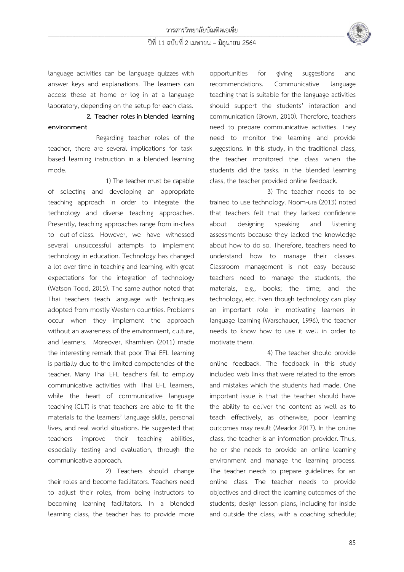

language activities can be language quizzes with answer keys and explanations. The learners can access these at home or log in at a language laboratory, depending on the setup for each class.

## **2. Teacher roles in blended learning environment**

Regarding teacher roles of the teacher, there are several implications for taskbased learning instruction in a blended learning mode.

1) The teacher must be capable of selecting and developing an appropriate teaching approach in order to integrate the technology and diverse teaching approaches. Presently, teaching approaches range from in-class to out-of-class. However, we have witnessed several unsuccessful attempts to implement technology in education. Technology has changed a lot over time in teaching and learning, with great expectations for the integration of technology (Watson Todd, 2015). The same author noted that Thai teachers teach language with techniques adopted from mostly Western countries. Problems occur when they implement the approach without an awareness of the environment, culture, and learners. Moreover, Khamhien (2011) made the interesting remark that poor Thai EFL learning is partially due to the limited competencies of the teacher. Many Thai EFL teachers fail to employ communicative activities with Thai EFL learners, while the heart of communicative language teaching (CLT) is that teachers are able to fit the materials to the learners' language skills, personal lives, and real world situations. He suggested that teachers improve their teaching abilities, especially testing and evaluation, through the communicative approach.

2) Teachers should change their roles and become facilitators. Teachers need to adjust their roles, from being instructors to becoming learning facilitators. In a blended learning class, the teacher has to provide more opportunities for giving suggestions and recommendations. Communicative language teaching that is suitable for the language activities should support the students' interaction and communication (Brown, 2010). Therefore, teachers need to prepare communicative activities. They need to monitor the learning and provide suggestions. In this study, in the traditional class, the teacher monitored the class when the students did the tasks. In the blended learning class, the teacher provided online feedback.

3) The teacher needs to be trained to use technology. Noom-ura (2013) noted that teachers felt that they lacked confidence about designing speaking and listening assessments because they lacked the knowledge about how to do so. Therefore, teachers need to understand how to manage their classes. Classroom management is not easy because teachers need to manage the students, the materials, e.g., books; the time; and the technology, etc. Even though technology can play an important role in motivating learners in language learning (Warschauer, 1996), the teacher needs to know how to use it well in order to motivate them.

4) The teacher should provide online feedback. The feedback in this study included web links that were related to the errors and mistakes which the students had made. One important issue is that the teacher should have the ability to deliver the content as well as to teach effectively, as otherwise, poor learning outcomes may result (Meador 2017). In the online class, the teacher is an information provider. Thus, he or she needs to provide an online learning environment and manage the learning process. The teacher needs to prepare guidelines for an online class. The teacher needs to provide objectives and direct the learning outcomes of the students; design lesson plans, including for inside and outside the class, with a coaching schedule;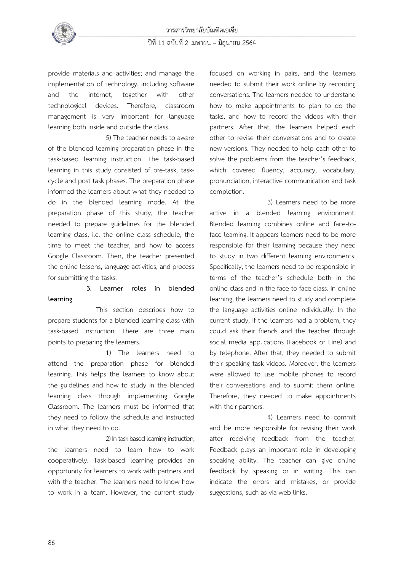

provide materials and activities; and manage the implementation of technology, including software and the internet, together with other technological devices. Therefore, classroom management is very important for language learning both inside and outside the class.

5) The teacher needs to aware of the blended learning preparation phase in the task-based learning instruction. The task-based learning in this study consisted of pre-task, taskcycle and post task phases. The preparation phase informed the learners about what they needed to do in the blended learning mode. At the preparation phase of this study, the teacher needed to prepare guidelines for the blended learning class, i.e. the online class schedule, the time to meet the teacher, and how to access Google Classroom. Then, the teacher presented the online lessons, language activities, and process for submitting the tasks.

## **3. Learner roles in blended learning**

This section describes how to prepare students for a blended learning class with task-based instruction. There are three main points to preparing the learners.

1) The learners need to attend the preparation phase for blended learning. This helps the learners to know about the guidelines and how to study in the blended learning class through implementing Google Classroom. The learners must be informed that they need to follow the schedule and instructed in what they need to do.

2) In task-based learning instruction, the learners need to learn how to work cooperatively. Task-based learning provides an opportunity for learners to work with partners and with the teacher. The learners need to know how to work in a team. However, the current study focused on working in pairs, and the learners needed to submit their work online by recording conversations. The learners needed to understand how to make appointments to plan to do the tasks, and how to record the videos with their partners. After that, the learners helped each other to revise their conversations and to create new versions. They needed to help each other to solve the problems from the teacher's feedback, which covered fluency, accuracy, vocabulary, pronunciation, interactive communication and task completion.

3) Learners need to be more active in a blended learning environment. Blended learning combines online and face-toface learning. It appears learners need to be more responsible for their learning because they need to study in two different learning environments. Specifically, the learners need to be responsible in terms of the teacher's schedule both in the online class and in the face-to-face class. In online learning, the learners need to study and complete the language activities online individually. In the current study, if the learners had a problem, they could ask their friends and the teacher through social media applications (Facebook or Line) and by telephone. After that, they needed to submit their speaking task videos. Moreover, the learners were allowed to use mobile phones to record their conversations and to submit them online. Therefore, they needed to make appointments with their partners.

4) Learners need to commit and be more responsible for revising their work after receiving feedback from the teacher. Feedback plays an important role in developing speaking ability. The teacher can give online feedback by speaking or in writing. This can indicate the errors and mistakes, or provide suggestions, such as via web links.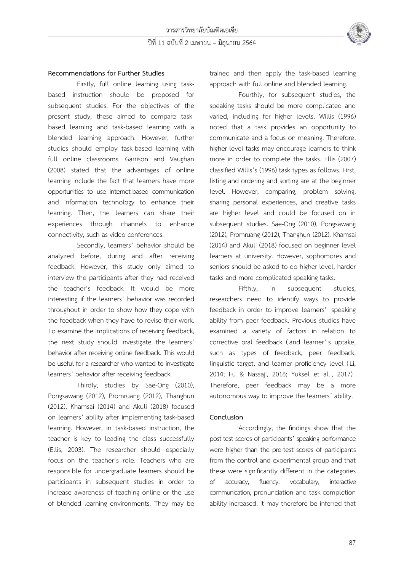

### **Recommendations for Further Studies**

Firstly, full online learning using taskbased instruction should be proposed for subsequent studies. For the objectives of the present study, these aimed to compare taskbased learning and task-based learning with a blended learning approach. However, further studies should employ task-based learning with full online classrooms. Garrison and Vaughan (2008) stated that the advantages of online learning include the fact that learners have more opportunities to use internet-based communication and information technology to enhance their learning. Then, the learners can share their experiences through channels to enhance connectivity, such as video conferences.

Secondly, learners' behavior should be analyzed before, during and after receiving feedback. However, this study only aimed to interview the participants after they had received the teacher's feedback. It would be more interesting if the learners' behavior was recorded throughout in order to show how they cope with the feedback when they have to revise their work. To examine the implications of receiving feedback, the next study should investigate the learners' behavior after receiving online feedback. This would be useful for a researcher who wanted to investigate learners' behavior after receiving feedback.

Thirdly, studies by Sae-Ong (2010), Pongsawang (2012), Promruang (2012), Thanghun (2012), Khamsai (2014) and Akuli (2018) focused on learners' ability after implementing task-based learning. However, in task-based instruction, the teacher is key to leading the class successfully (Ellis, 2003). The researcher should especially focus on the teacher's role. Teachers who are responsible for undergraduate learners should be participants in subsequent studies in order to increase awareness of teaching online or the use of blended learning environments. They may be

trained and then apply the task-based learning approach with full online and blended learning.

Fourthly, for subsequent studies, the speaking tasks should be more complicated and varied, including for higher levels. Willis (1996) noted that a task provides an opportunity to communicate and a focus on meaning. Therefore, higher level tasks may encourage learners to think more in order to complete the tasks. Ellis (2007) classified Willis's (1996) task types as follows. First, listing and ordering and sorting are at the beginner level. However, comparing, problem solving, sharing personal experiences, and creative tasks are higher level and could be focused on in subsequent studies. Sae-Ong (2010), Pongsawang (2012), Promruang (2012), Thanghun (2012), Khamsai (2014) and Akuli (2018) focused on beginner level learners at university. However, sophomores and seniors should be asked to do higher level, harder tasks and more complicated speaking tasks.

Fifthly, in subsequent studies, researchers need to identify ways to provide feedback in order to improve learners' speaking ability from peer feedback. Previous studies have examined a variety of factors in relation to corrective oral feedback (and learner' s uptake, such as types of feedback, peer feedback, linguistic target, and learner proficiency level (Li, 2014; Fu & Nassaji, 2016; Yuksel et al. , 2017) . Therefore, peer feedback may be a more autonomous way to improve the learners' ability.

#### **Conclusion**

Accordingly, the findings show that the post-test scores of participants' speaking performance were higher than the pre-test scores of participants from the control and experimental group and that these were significantly different in the categories of accuracy, fluency, vocabulary, interactive communication, pronunciation and task completion ability increased. It may therefore be inferred that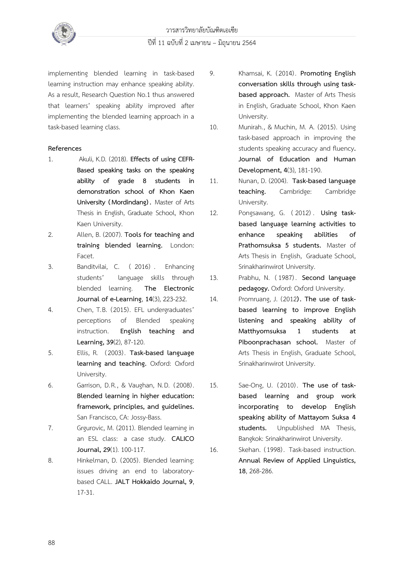

implementing blended learning in task-based learning instruction may enhance speaking ability. As a result, Research Question No.1 thus answered that learners' speaking ability improved after implementing the blended learning approach in a task-based learning class.

### **References**

- 1. Akuli, K.D. (2018). **Effects of using CEFR-Based speaking tasks on the speaking ability of grade 8 students in demonstration school of Khon Kaen University (Mordindang) .** Master of Arts Thesis in English, Graduate School, Khon Kaen University.
- 2. Allen, B. (2007). **Tools for teaching and training blended learning.** London: Facet.
- 3. Banditvilai, C. ( 2016) . Enhancing students' language skills through blended learning. **The Electronic Journal of e-Learning**, **14**(3), 223-232.
- 4. Chen, T.B. (2015). EFL undergraduates' perceptions of Blended speaking instruction. **English teaching and Learning, 39**(2), 87-120.
- 5. Ellis, R. (2003). **Task-based language learning and teaching.** Oxford: Oxford University.
- 6. Garrison, D.R., & Vaughan, N.D. (2008). **Blended learning in higher education: framework, principles, and guidelines.** San Francisco, CA: Jossy-Bass.
- 7. Grgurovic, M. (2011). Blended learning in an ESL class: a case study. **CALICO Journal, 29**(1). 100-117.
- 8. Hinkelman, D. (2005). Blended learning: issues driving an end to laboratorybased CALL. **JALT Hokkaido Journal, 9**, 17-31.
- 9. Khamsai, K. (2014). **Promoting English conversation skills through using taskbased approach.** Master of Arts Thesis in English, Graduate School, Khon Kaen University.
- 10. Munirah., & Muchin, M. A. (2015). Using task-based approach in improving the students speaking accuracy and fluency**. Journal of Education and Human Development, 4**(3), 181-190.
- 11. Nunan, D. (2004). **Task-based language teaching.** Cambridge: Cambridge University.
- 12. Pongsawang, G. ( 2012) . **Using taskbased language learning activities to enhance speaking abilities of Prathomsuksa 5 students.** Master of Arts Thesis in English, Graduate School, Srinakharinwirot University.
- 13. Prabhu, N. (1987) . **Second language pedagogy.** Oxford: Oxford University.
- 14. Promruang, J. (2012**). The use of taskbased learning to improve English listening and speaking ability of Matthyomsuksa 1 students at Piboonprachasan school.** Master of Arts Thesis in English, Graduate School, Srinakharinwirot University.
- 15. Sae-Ong, U. (2010) . **The use of taskbased learning and group work incorporating to develop English speaking ability of Mattayom Suksa 4 students.** Unpublished MA Thesis, Bangkok: Srinakharinwirot University.
- 16. Skehan. (1998) . Task-based instruction. **Annual Review of Applied Linguistics, 18**, 268-286.